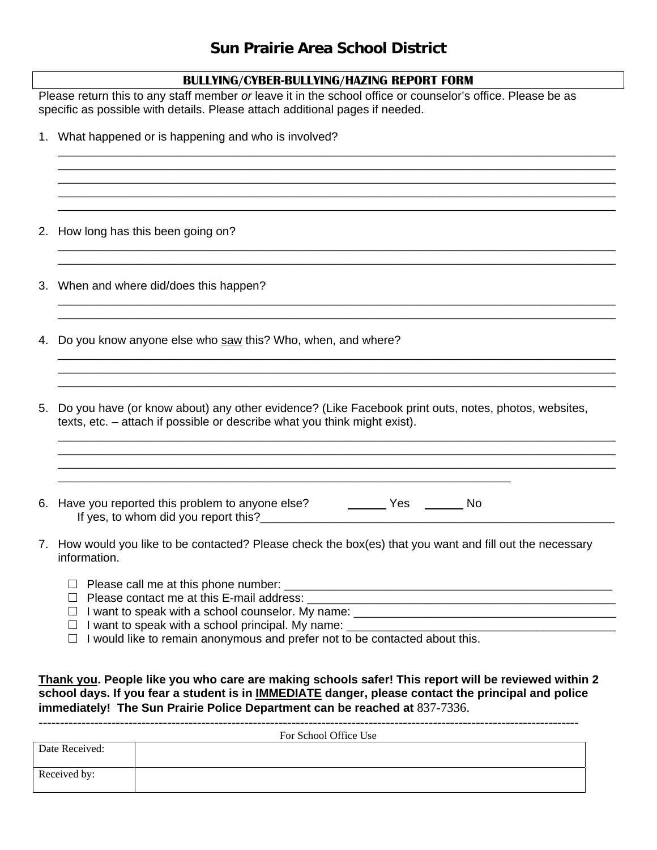## **Sun Prairie Area School District**

Please return this to any staff member *or* leave it in the school office or counselor's office. Please be as specific as possible with details. Please attach additional pages if needed.

|    | 1. What happened or is happening and who is involved?                                                                                                                                                                                                                                          |
|----|------------------------------------------------------------------------------------------------------------------------------------------------------------------------------------------------------------------------------------------------------------------------------------------------|
|    | 2. How long has this been going on?                                                                                                                                                                                                                                                            |
|    | 3. When and where did/does this happen?                                                                                                                                                                                                                                                        |
|    | 4. Do you know anyone else who saw this? Who, when, and where?                                                                                                                                                                                                                                 |
| 5. | Do you have (or know about) any other evidence? (Like Facebook print outs, notes, photos, websites,<br>texts, etc. – attach if possible or describe what you think might exist).                                                                                                               |
|    | 6. Have you reported this problem to anyone else? ___________ Yes _________ No                                                                                                                                                                                                                 |
|    | 7. How would you like to be contacted? Please check the box(es) that you want and fill out the necessary<br>information.<br>I want to speak with a school principal. My name: ______________________________<br>I would like to remain anonymous and prefer not to be contacted about this.    |
|    | Thank you. People like you who care are making schools safer! This report will be reviewed within 2<br>school days. If you fear a student is in <b>IMMEDIATE</b> danger, please contact the principal and police<br>immediately! The Sun Prairie Police Department can be reached at 837-7336. |

|                | For School Office Use |
|----------------|-----------------------|
| Date Received: |                       |
| Received by:   |                       |